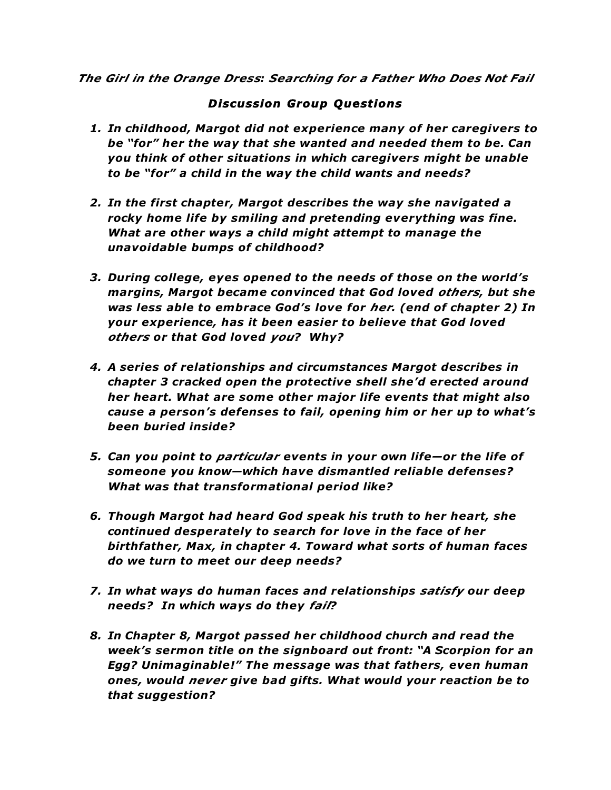*The Girl in the Orange Dress: Searching for a Father Who Does Not Fail*

## *Discussion Group Questions*

- *1. In childhood, Margot did not experience many of her caregivers to be "for" her the way that she wanted and needed them to be. Can you think of other situations in which caregivers might be unable to be "for" a child in the way the child wants and needs?*
- *2. In the first chapter, Margot describes the way she navigated a rocky home life by smiling and pretending everything was fine. What are other ways a child might attempt to manage the unavoidable bumps of childhood?*
- *3. During college, eyes opened to the needs of those on the world's margins, Margot became convinced that God loved others, but she was less able to embrace God's love for her. (end of chapter 2) In your experience, has it been easier to believe that God loved others or that God loved you? Why?*
- *4. A series of relationships and circumstances Margot describes in chapter 3 cracked open the protective shell she'd erected around her heart. What are some other major life events that might also cause a person's defenses to fail, opening him or her up to what's been buried inside?*
- *5. Can you point to particular events in your own life—or the life of someone you know—which have dismantled reliable defenses? What was that transformational period like?*
- *6. Though Margot had heard God speak his truth to her heart, she continued desperately to search for love in the face of her birthfather, Max, in chapter 4. Toward what sorts of human faces do we turn to meet our deep needs?*
- *7. In what ways do human faces and relationships satisfy our deep needs? In which ways do they fail?*
- *8. In Chapter 8, Margot passed her childhood church and read the week's sermon title on the signboard out front: "A Scorpion for an Egg? Unimaginable!" The message was that fathers, even human ones, would never give bad gifts. What would your reaction be to that suggestion?*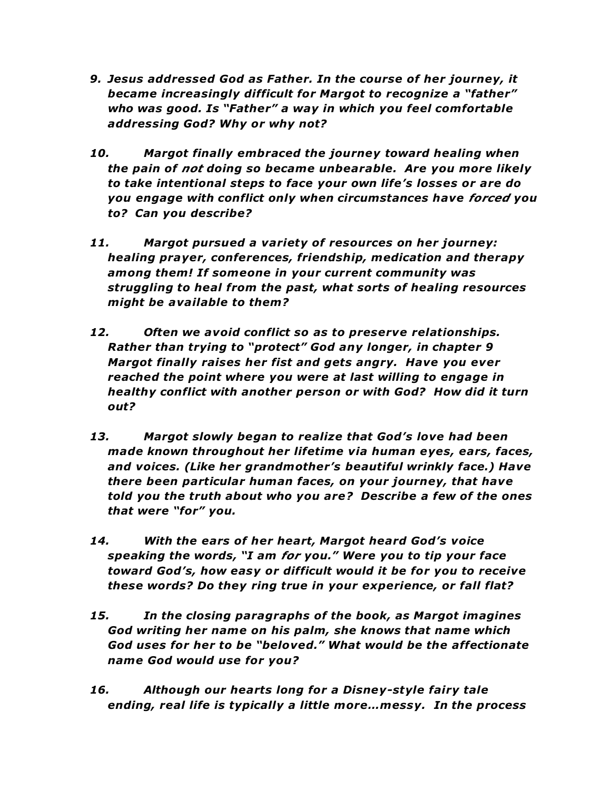- *9. Jesus addressed God as Father. In the course of her journey, it became increasingly difficult for Margot to recognize a "father" who was good. Is "Father" a way in which you feel comfortable addressing God? Why or why not?*
- *10. Margot finally embraced the journey toward healing when the pain of not doing so became unbearable. Are you more likely to take intentional steps to face your own life's losses or are do you engage with conflict only when circumstances have forced you to? Can you describe?*
- *11. Margot pursued a variety of resources on her journey: healing prayer, conferences, friendship, medication and therapy among them! If someone in your current community was struggling to heal from the past, what sorts of healing resources might be available to them?*
- *12. Often we avoid conflict so as to preserve relationships. Rather than trying to "protect" God any longer, in chapter 9 Margot finally raises her fist and gets angry. Have you ever reached the point where you were at last willing to engage in healthy conflict with another person or with God? How did it turn out?*
- *13. Margot slowly began to realize that God's love had been made known throughout her lifetime via human eyes, ears, faces, and voices. (Like her grandmother's beautiful wrinkly face.) Have there been particular human faces, on your journey, that have told you the truth about who you are? Describe a few of the ones that were "for" you.*
- *14. With the ears of her heart, Margot heard God's voice speaking the words, "I am for you." Were you to tip your face toward God's, how easy or difficult would it be for you to receive these words? Do they ring true in your experience, or fall flat?*
- *15. In the closing paragraphs of the book, as Margot imagines God writing her name on his palm, she knows that name which God uses for her to be "beloved." What would be the affectionate name God would use for you?*
- *16. Although our hearts long for a Disney-style fairy tale ending, real life is typically a little more…messy. In the process*